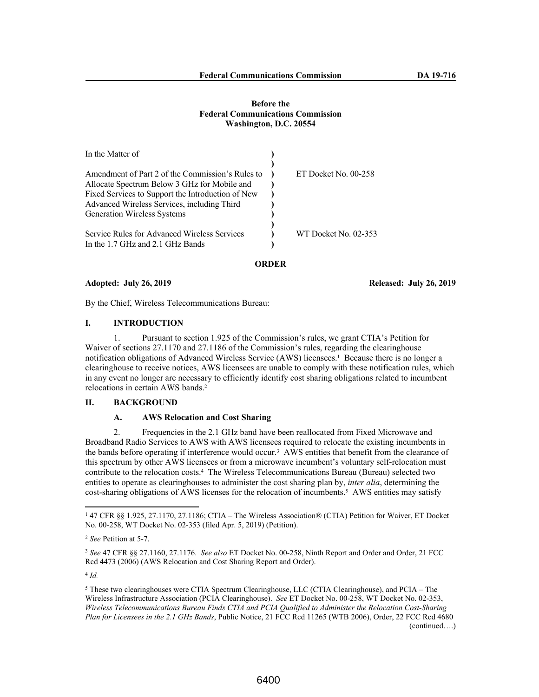## **Before the Federal Communications Commission Washington, D.C. 20554**

| In the Matter of                                  |                      |
|---------------------------------------------------|----------------------|
|                                                   |                      |
| Amendment of Part 2 of the Commission's Rules to  | ET Docket No. 00-258 |
| Allocate Spectrum Below 3 GHz for Mobile and      |                      |
| Fixed Services to Support the Introduction of New |                      |
| Advanced Wireless Services, including Third       |                      |
| <b>Generation Wireless Systems</b>                |                      |
| Service Rules for Advanced Wireless Services      | WT Docket No. 02-353 |
| In the 1.7 GHz and 2.1 GHz Bands                  |                      |

#### **ORDER**

### **Adopted: July 26, 2019 Released: July 26, 2019**

By the Chief, Wireless Telecommunications Bureau:

# **I. INTRODUCTION**

1. Pursuant to section 1.925 of the Commission's rules, we grant CTIA's Petition for Waiver of sections 27.1170 and 27.1186 of the Commission's rules, regarding the clearinghouse notification obligations of Advanced Wireless Service (AWS) licensees.<sup>1</sup> Because there is no longer a clearinghouse to receive notices, AWS licensees are unable to comply with these notification rules, which in any event no longer are necessary to efficiently identify cost sharing obligations related to incumbent relocations in certain AWS bands.<sup>2</sup>

# **II. BACKGROUND**

## **A. AWS Relocation and Cost Sharing**

2. Frequencies in the 2.1 GHz band have been reallocated from Fixed Microwave and Broadband Radio Services to AWS with AWS licensees required to relocate the existing incumbents in the bands before operating if interference would occur.<sup>3</sup> AWS entities that benefit from the clearance of this spectrum by other AWS licensees or from a microwave incumbent's voluntary self-relocation must contribute to the relocation costs.<sup>4</sup> The Wireless Telecommunications Bureau (Bureau) selected two entities to operate as clearinghouses to administer the cost sharing plan by, *inter alia*, determining the cost-sharing obligations of AWS licenses for the relocation of incumbents.<sup>5</sup> AWS entities may satisfy

<sup>1</sup> 47 CFR §§ 1.925, 27.1170, 27.1186; CTIA – The Wireless Association® (CTIA) Petition for Waiver, ET Docket No. 00-258, WT Docket No. 02-353 (filed Apr. 5, 2019) (Petition).

<sup>2</sup> *See* Petition at 5-7.

<sup>3</sup> *See* 47 CFR §§ 27.1160, 27.1176. *See also* ET Docket No. 00-258, Ninth Report and Order and Order, 21 FCC Rcd 4473 (2006) (AWS Relocation and Cost Sharing Report and Order).

<sup>4</sup> *Id.*

<sup>&</sup>lt;sup>5</sup> These two clearinghouses were CTIA Spectrum Clearinghouse, LLC (CTIA Clearinghouse), and PCIA – The Wireless Infrastructure Association (PCIA Clearinghouse). *See* ET Docket No. 00-258, WT Docket No. 02-353, *Wireless Telecommunications Bureau Finds CTIA and PCIA Qualified to Administer the Relocation Cost-Sharing Plan for Licensees in the 2.1 GHz Bands*, Public Notice, 21 FCC Rcd 11265 (WTB 2006), Order, 22 FCC Rcd 4680 (continued….)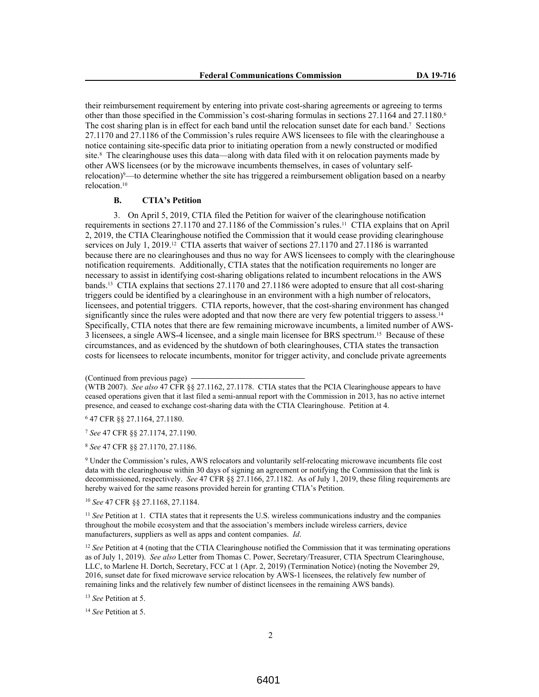their reimbursement requirement by entering into private cost-sharing agreements or agreeing to terms other than those specified in the Commission's cost-sharing formulas in sections 27.1164 and 27.1180.<sup>6</sup> The cost sharing plan is in effect for each band until the relocation sunset date for each band.<sup>7</sup> Sections 27.1170 and 27.1186 of the Commission's rules require AWS licensees to file with the clearinghouse a notice containing site-specific data prior to initiating operation from a newly constructed or modified site.<sup>8</sup> The clearinghouse uses this data—along with data filed with it on relocation payments made by other AWS licensees (or by the microwave incumbents themselves, in cases of voluntary selfrelocation)<sup>9</sup>—to determine whether the site has triggered a reimbursement obligation based on a nearby relocation.<sup>10</sup>

#### **B. CTIA's Petition**

3. On April 5, 2019, CTIA filed the Petition for waiver of the clearinghouse notification requirements in sections 27.1170 and 27.1186 of the Commission's rules.11 CTIA explains that on April 2, 2019, the CTIA Clearinghouse notified the Commission that it would cease providing clearinghouse services on July 1, 2019.<sup>12</sup> CTIA asserts that waiver of sections 27.1170 and 27.1186 is warranted because there are no clearinghouses and thus no way for AWS licensees to comply with the clearinghouse notification requirements. Additionally, CTIA states that the notification requirements no longer are necessary to assist in identifying cost-sharing obligations related to incumbent relocations in the AWS bands.13 CTIA explains that sections 27.1170 and 27.1186 were adopted to ensure that all cost-sharing triggers could be identified by a clearinghouse in an environment with a high number of relocators, licensees, and potential triggers. CTIA reports, however, that the cost-sharing environment has changed significantly since the rules were adopted and that now there are very few potential triggers to assess.<sup>14</sup> Specifically, CTIA notes that there are few remaining microwave incumbents, a limited number of AWS-3 licensees, a single AWS-4 licensee, and a single main licensee for BRS spectrum.15 Because of these circumstances, and as evidenced by the shutdown of both clearinghouses, CTIA states the transaction costs for licensees to relocate incumbents, monitor for trigger activity, and conclude private agreements

(Continued from previous page)

(WTB 2007). *See also* 47 CFR §§ 27.1162, 27.1178. CTIA states that the PCIA Clearinghouse appears to have ceased operations given that it last filed a semi-annual report with the Commission in 2013, has no active internet presence, and ceased to exchange cost-sharing data with the CTIA Clearinghouse. Petition at 4.

6 47 CFR §§ 27.1164, 27.1180.

<sup>7</sup> *See* 47 CFR §§ 27.1174, 27.1190.

<sup>8</sup> *See* 47 CFR §§ 27.1170, 27.1186.

9 Under the Commission's rules, AWS relocators and voluntarily self-relocating microwave incumbents file cost data with the clearinghouse within 30 days of signing an agreement or notifying the Commission that the link is decommissioned, respectively. *See* 47 CFR §§ 27.1166, 27.1182. As of July 1, 2019, these filing requirements are hereby waived for the same reasons provided herein for granting CTIA's Petition.

<sup>10</sup> *See* 47 CFR §§ 27.1168, 27.1184.

<sup>11</sup> *See* Petition at 1. CTIA states that it represents the U.S. wireless communications industry and the companies throughout the mobile ecosystem and that the association's members include wireless carriers, device manufacturers, suppliers as well as apps and content companies. *Id*.

<sup>12</sup> *See* Petition at 4 (noting that the CTIA Clearinghouse notified the Commission that it was terminating operations as of July 1, 2019). *See also* Letter from Thomas C. Power, Secretary/Treasurer, CTIA Spectrum Clearinghouse, LLC, to Marlene H. Dortch, Secretary, FCC at 1 (Apr. 2, 2019) (Termination Notice) (noting the November 29, 2016, sunset date for fixed microwave service relocation by AWS-1 licensees, the relatively few number of remaining links and the relatively few number of distinct licensees in the remaining AWS bands).

<sup>13</sup> *See* Petition at 5.

<sup>14</sup> *See* Petition at 5.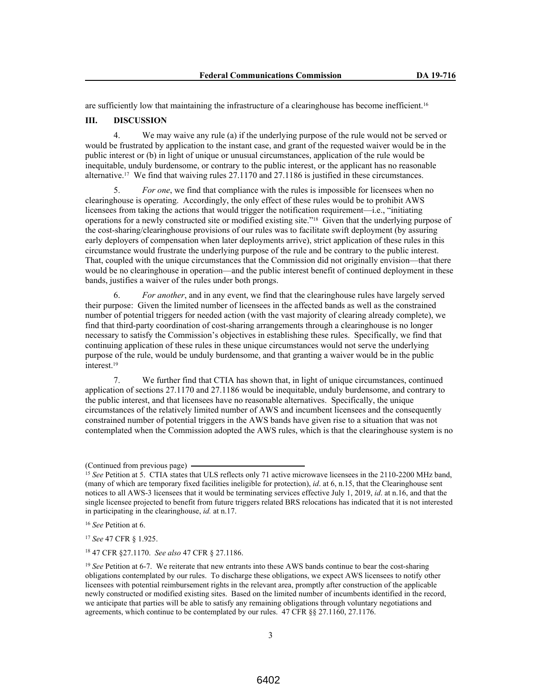are sufficiently low that maintaining the infrastructure of a clearinghouse has become inefficient.<sup>16</sup>

## **III. DISCUSSION**

4. We may waive any rule (a) if the underlying purpose of the rule would not be served or would be frustrated by application to the instant case, and grant of the requested waiver would be in the public interest or (b) in light of unique or unusual circumstances, application of the rule would be inequitable, unduly burdensome, or contrary to the public interest, or the applicant has no reasonable alternative.17 We find that waiving rules 27.1170 and 27.1186 is justified in these circumstances.

5. *For one*, we find that compliance with the rules is impossible for licensees when no clearinghouse is operating. Accordingly, the only effect of these rules would be to prohibit AWS licensees from taking the actions that would trigger the notification requirement—i.e., "initiating operations for a newly constructed site or modified existing site."18 Given that the underlying purpose of the cost-sharing/clearinghouse provisions of our rules was to facilitate swift deployment (by assuring early deployers of compensation when later deployments arrive), strict application of these rules in this circumstance would frustrate the underlying purpose of the rule and be contrary to the public interest. That, coupled with the unique circumstances that the Commission did not originally envision—that there would be no clearinghouse in operation—and the public interest benefit of continued deployment in these bands, justifies a waiver of the rules under both prongs.

For another, and in any event, we find that the clearinghouse rules have largely served their purpose: Given the limited number of licensees in the affected bands as well as the constrained number of potential triggers for needed action (with the vast majority of clearing already complete), we find that third-party coordination of cost-sharing arrangements through a clearinghouse is no longer necessary to satisfy the Commission's objectives in establishing these rules. Specifically, we find that continuing application of these rules in these unique circumstances would not serve the underlying purpose of the rule, would be unduly burdensome, and that granting a waiver would be in the public interest.<sup>19</sup>

7. We further find that CTIA has shown that, in light of unique circumstances, continued application of sections 27.1170 and 27.1186 would be inequitable, unduly burdensome, and contrary to the public interest, and that licensees have no reasonable alternatives. Specifically, the unique circumstances of the relatively limited number of AWS and incumbent licensees and the consequently constrained number of potential triggers in the AWS bands have given rise to a situation that was not contemplated when the Commission adopted the AWS rules, which is that the clearinghouse system is no

<sup>17</sup> *See* 47 CFR § 1.925.

<sup>18</sup> 47 CFR §27.1170. *See also* 47 CFR § 27.1186.

<sup>(</sup>Continued from previous page)

<sup>&</sup>lt;sup>15</sup> See Petition at 5. CTIA states that ULS reflects only 71 active microwave licensees in the 2110-2200 MHz band, (many of which are temporary fixed facilities ineligible for protection), *id*. at 6, n.15, that the Clearinghouse sent notices to all AWS-3 licensees that it would be terminating services effective July 1, 2019, *id*. at n.16, and that the single licensee projected to benefit from future triggers related BRS relocations has indicated that it is not interested in participating in the clearinghouse, *id.* at n.17.

<sup>16</sup> *See* Petition at 6.

<sup>&</sup>lt;sup>19</sup> *See* Petition at 6-7. We reiterate that new entrants into these AWS bands continue to bear the cost-sharing obligations contemplated by our rules. To discharge these obligations, we expect AWS licensees to notify other licensees with potential reimbursement rights in the relevant area, promptly after construction of the applicable newly constructed or modified existing sites. Based on the limited number of incumbents identified in the record, we anticipate that parties will be able to satisfy any remaining obligations through voluntary negotiations and agreements, which continue to be contemplated by our rules. 47 CFR §§ 27.1160, 27.1176.